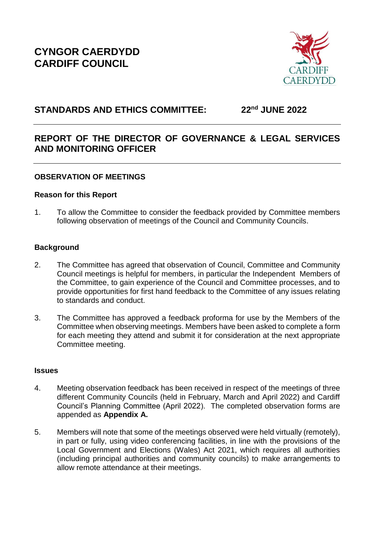

# **STANDARDS AND ETHICS COMMITTEE: 22nd JUNE 2022**

# **REPORT OF THE DIRECTOR OF GOVERNANCE & LEGAL SERVICES AND MONITORING OFFICER**

# **OBSERVATION OF MEETINGS**

# **Reason for this Report**

1. To allow the Committee to consider the feedback provided by Committee members following observation of meetings of the Council and Community Councils.

# **Background**

- 2. The Committee has agreed that observation of Council, Committee and Community Council meetings is helpful for members, in particular the Independent Members of the Committee, to gain experience of the Council and Committee processes, and to provide opportunities for first hand feedback to the Committee of any issues relating to standards and conduct.
- 3. The Committee has approved a feedback proforma for use by the Members of the Committee when observing meetings. Members have been asked to complete a form for each meeting they attend and submit it for consideration at the next appropriate Committee meeting.

#### **Issues**

- 4. Meeting observation feedback has been received in respect of the meetings of three different Community Councils (held in February, March and April 2022) and Cardiff Council's Planning Committee (April 2022). The completed observation forms are appended as **Appendix A.**
- 5. Members will note that some of the meetings observed were held virtually (remotely), in part or fully, using video conferencing facilities, in line with the provisions of the Local Government and Elections (Wales) Act 2021, which requires all authorities (including principal authorities and community councils) to make arrangements to allow remote attendance at their meetings.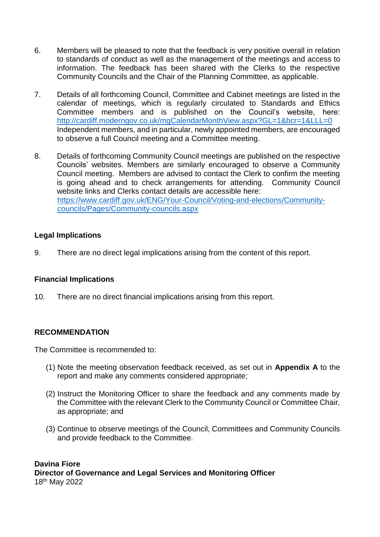- 6. Members will be pleased to note that the feedback is very positive overall in relation to standards of conduct as well as the management of the meetings and access to information. The feedback has been shared with the Clerks to the respective Community Councils and the Chair of the Planning Committee, as applicable.
- 7. Details of all forthcoming Council, Committee and Cabinet meetings are listed in the calendar of meetings, which is regularly circulated to Standards and Ethics Committee members and is published on the Council's website, here: <http://cardiff.moderngov.co.uk/mgCalendarMonthView.aspx?GL=1&bcr=1&LLL=0> Independent members, and in particular, newly appointed members, are encouraged to observe a full Council meeting and a Committee meeting.
- 8. Details of forthcoming Community Council meetings are published on the respective Councils' websites. Members are similarly encouraged to observe a Community Council meeting. Members are advised to contact the Clerk to confirm the meeting is going ahead and to check arrangements for attending. Community Council website links and Clerks contact details are accessible here: [https://www.cardiff.gov.uk/ENG/Your-Council/Voting-and-elections/Community](https://www.cardiff.gov.uk/ENG/Your-Council/Voting-and-elections/Community-councils/Pages/Community-councils.aspx)[councils/Pages/Community-councils.aspx](https://www.cardiff.gov.uk/ENG/Your-Council/Voting-and-elections/Community-councils/Pages/Community-councils.aspx)

#### **Legal Implications**

9. There are no direct legal implications arising from the content of this report.

#### **Financial Implications**

10. There are no direct financial implications arising from this report.

#### **RECOMMENDATION**

The Committee is recommended to:

- (1) Note the meeting observation feedback received, as set out in **Appendix A** to the report and make any comments considered appropriate;
- (2) Instruct the Monitoring Officer to share the feedback and any comments made by the Committee with the relevant Clerk to the Community Council or Committee Chair, as appropriate; and
- (3) Continue to observe meetings of the Council, Committees and Community Councils and provide feedback to the Committee.

#### **Davina Fiore Director of Governance and Legal Services and Monitoring Officer**  18th May 2022